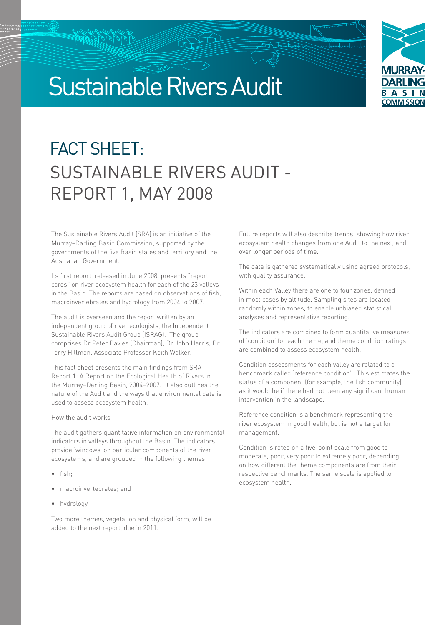# Sustainable Rivers Audit



## FACT SHEET: SUSTAINABLE RIVERS AUDIT - REPORT 1, MAY 2008

The Sustainable Rivers Audit (SRA) is an initiative of the Murray–Darling Basin Commission, supported by the governments of the five Basin states and territory and the Australian Government.

Its first report, released in June 2008, presents "report cards" on river ecosystem health for each of the 23 valleys in the Basin. The reports are based on observations of fish, macroinvertebrates and hydrology from 2004 to 2007.

The audit is overseen and the report written by an independent group of river ecologists, the Independent Sustainable Rivers Audit Group (ISRAG). The group comprises Dr Peter Davies (Chairman), Dr John Harris, Dr Terry Hillman, Associate Professor Keith Walker.

This fact sheet presents the main findings from SRA Report 1: A Report on the Ecological Health of Rivers in the Murray–Darling Basin, 2004–2007. It also outlines the nature of the Audit and the ways that environmental data is used to assess ecosystem health.

#### How the audit works

The audit gathers quantitative information on environmental indicators in valleys throughout the Basin. The indicators provide 'windows' on particular components of the river ecosystems, and are grouped in the following themes:

- fish·
- macroinvertebrates; and
- hydrology.

Two more themes, vegetation and physical form, will be added to the next report, due in 2011.

Future reports will also describe trends, showing how river ecosystem health changes from one Audit to the next, and over longer periods of time.

0<del>0</del>

The data is gathered systematically using agreed protocols, with quality assurance.

Within each Valley there are one to four zones, defined in most cases by altitude. Sampling sites are located randomly within zones, to enable unbiased statistical analyses and representative reporting.

The indicators are combined to form quantitative measures of 'condition' for each theme, and theme condition ratings are combined to assess ecosystem health.

Condition assessments for each valley are related to a benchmark called 'reference condition'. This estimates the status of a component (for example, the fish community) as it would be if there had not been any significant human intervention in the landscape.

Reference condition is a benchmark representing the river ecosystem in good health, but is not a target for management.

Condition is rated on a five-point scale from good to moderate, poor, very poor to extremely poor, depending on how different the theme components are from their respective benchmarks. The same scale is applied to ecosystem health.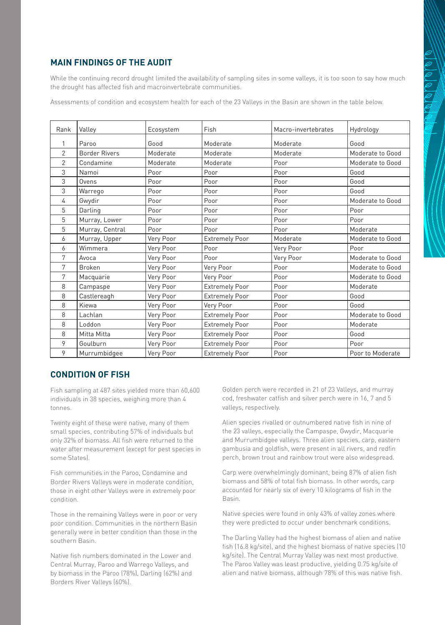#### **Main findings of the audit**

While the continuing record drought limited the availability of sampling sites in some valleys, it is too soon to say how much the drought has affected fish and macroinvertebrate communities.

Assessments of condition and ecosystem health for each of the 23 Valleys in the Basin are shown in the table below.

| Rank           | Valley               | Ecosystem | Fish                  | Macro-invertebrates | Hydrology        |
|----------------|----------------------|-----------|-----------------------|---------------------|------------------|
|                | Paroo                | Good      | Moderate              | Moderate            | Good             |
| $\overline{2}$ | <b>Border Rivers</b> | Moderate  | Moderate              | Moderate            | Moderate to Good |
| 2              | Condamine            | Moderate  | Moderate              | Poor                | Moderate to Good |
| 3              | Namoi                | Poor      | Poor                  | Poor                | Good             |
| 3              | Ovens                | Poor      | Poor                  | Poor                | Good             |
| 3              | Warrego              | Poor      | Poor                  | Poor                | Good             |
| 4              | Gwydir               | Poor      | Poor                  | Poor                | Moderate to Good |
| 5              | Darling              | Poor      | Poor                  | Poor                | Poor             |
| 5              | Murray, Lower        | Poor      | Poor                  | Poor                | Poor             |
| 5              | Murray, Central      | Poor      | Poor                  | Poor                | Moderate         |
| 6              | Murray, Upper        | Very Poor | <b>Extremely Poor</b> | Moderate            | Moderate to Good |
| 6              | Wimmera              | Very Poor | Poor                  | Very Poor           | Poor             |
| 7              | Avoca                | Very Poor | Poor                  | Very Poor           | Moderate to Good |
| 7              | <b>Broken</b>        | Very Poor | Very Poor             | Poor                | Moderate to Good |
| 7              | Macquarie            | Very Poor | Very Poor             | Poor                | Moderate to Good |
| 8              | Campaspe             | Very Poor | <b>Extremely Poor</b> | Poor                | Moderate         |
| 8              | Castlereagh          | Very Poor | <b>Extremely Poor</b> | Poor                | Good             |
| 8              | Kiewa                | Very Poor | Very Poor             | Poor                | Good             |
| 8              | Lachlan              | Very Poor | <b>Extremely Poor</b> | Poor                | Moderate to Good |
| 8              | Loddon               | Very Poor | <b>Extremely Poor</b> | Poor                | Moderate         |
| 8              | Mitta Mitta          | Very Poor | <b>Extremely Poor</b> | Poor                | Good             |
| 9              | Goulburn             | Very Poor | <b>Extremely Poor</b> | Poor                | Poor             |
| 9              | Murrumbidgee         | Very Poor | <b>Extremely Poor</b> | Poor                | Poor to Moderate |

#### **Condition of fish**

Fish sampling at 487 sites yielded more than 60,600 individuals in 38 species, weighing more than 4 tonnes.

Twenty eight of these were native, many of them small species, contributing 57% of individuals but only 32% of biomass. All fish were returned to the water after measurement (except for pest species in some States).

Fish communities in the Paroo, Condamine and Border Rivers Valleys were in moderate condition, those in eight other Valleys were in extremely poor condition.

Those in the remaining Valleys were in poor or very poor condition. Communities in the northern Basin generally were in better condition than those in the southern Basin.

Native fish numbers dominated in the Lower and Central Murray, Paroo and Warrego Valleys, and by biomass in the Paroo (78%), Darling (62%) and Borders River Valleys (60%).

Golden perch were recorded in 21 of 23 Valleys, and murray cod, freshwater catfish and silver perch were in 16, 7 and 5 valleys, respectively.

Alien species rivalled or outnumbered native fish in nine of the 23 valleys, especially the Campaspe, Gwydir, Macquarie and Murrumbidgee valleys. Three alien species, carp, eastern gambusia and goldfish, were present in all rivers, and redfin perch, brown trout and rainbow trout were also widespread.

Carp were overwhelmingly dominant, being 87% of alien fish biomass and 58% of total fish biomass. In other words, carp accounted for nearly six of every 10 kilograms of fish in the Basin.

Native species were found in only 43% of valley zones where they were predicted to occur under benchmark conditions.

The Darling Valley had the highest biomass of alien and native fish (16.8 kg/site), and the highest biomass of native species (10 kg/site). The Central Murray Valley was next most productive. The Paroo Valley was least productive, yielding 0.75 kg/site of alien and native biomass, although 78% of this was native fish.